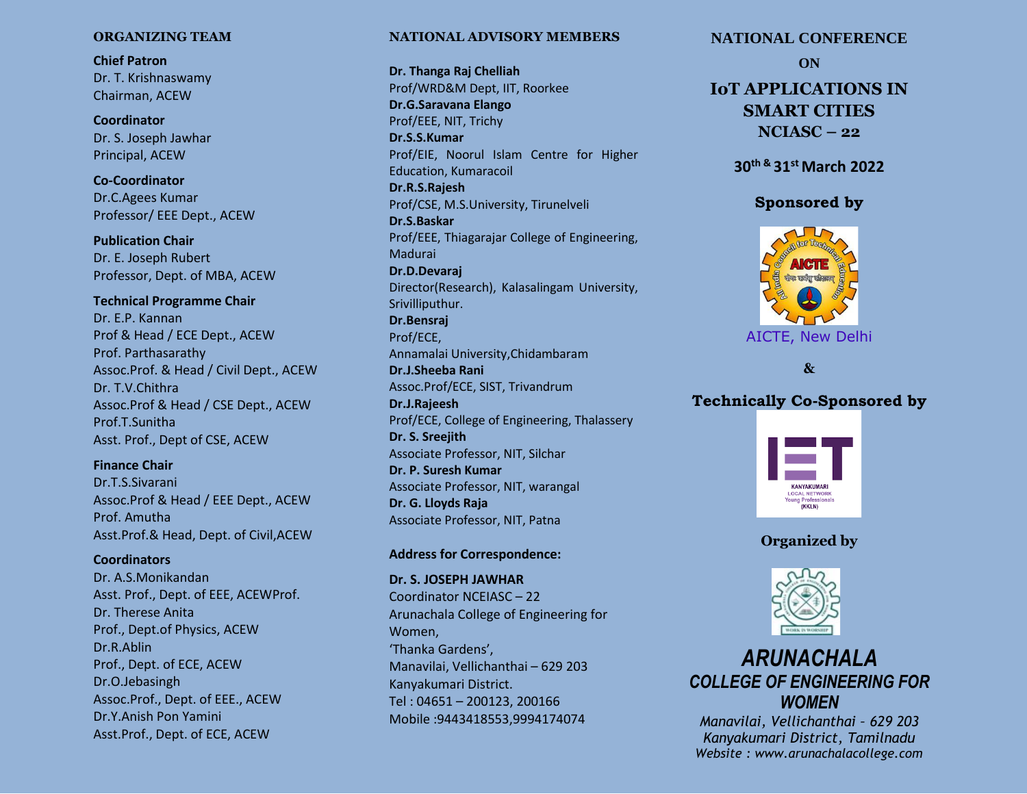# **ORGANIZING TEAM**

**Chief Patron** Dr. T. Krishnaswamy Chairman, ACEW

**Coordinator** Dr. S. Joseph Jawhar Principal, ACEW

**Co-Coordinator** Dr.C.Agees Kumar Professor/ EEE Dept., ACEW

**Publication Chair** Dr. E. Joseph Rubert Professor, Dept. of MBA, ACEW

**Technical Programme Chair** Dr. E.P. Kannan Prof & Head / ECE Dept., ACEW Prof. Parthasarathy Assoc.Prof. & Head / Civil Dept., ACEW Dr. T.V.Chithra Assoc.Prof & Head / CSE Dept., ACEW Prof.T.Sunitha Asst. Prof., Dept of CSE, ACEW

# **Finance Chair**

Dr.T.S.Sivarani Assoc.Prof & Head / EEE Dept., ACEW Prof. Amutha Asst.Prof.& Head, Dept. of Civil,ACEW

# **Coordinators**

Dr. A.S.Monikandan Asst. Prof., Dept. of EEE, ACEWProf. Dr. Therese Anita Prof., Dept.of Physics, ACEW Dr.R.Ablin Prof., Dept. of ECE, ACEW Dr.O.Jebasingh Assoc.Prof., Dept. of EEE., ACEW Dr.Y.Anish Pon Yamini Asst.Prof., Dept. of ECE, ACEW

# **NATIONAL ADVISORY MEMBERS**

**Dr. Thanga Raj Chelliah** Prof/WRD&M Dept, IIT, Roorkee **Dr.G.Saravana Elango** Prof/EEE, NIT, Trichy **Dr.S.S.Kumar** Prof/EIE, Noorul Islam Centre for Higher Education, Kumaracoil **Dr.R.S.Rajesh** Prof/CSE, M.S.University, Tirunelveli **Dr.S.Baskar** Prof/EEE, Thiagarajar College of Engineering, Madurai **Dr.D.Devaraj** Director(Research), Kalasalingam University, Srivilliputhur. **Dr.Bensraj** Prof/ECE, Annamalai University,Chidambaram **Dr.J.Sheeba Rani** Assoc.Prof/ECE, SIST, Trivandrum **Dr.J.Rajeesh** Prof/ECE, College of Engineering, Thalassery **Dr. S. Sreejith** Associate Professor, NIT, Silchar **Dr. P. Suresh Kumar** Associate Professor, NIT, warangal **Dr. G. Lloyds Raja** Associate Professor, NIT, Patna

### **Address for Correspondence:**

**Dr. S. JOSEPH JAWHAR** Coordinator NCEIASC – 22 Arunachala College of Engineering for Women, 'Thanka Gardens', Manavilai, Vellichanthai – 629 203 Kanyakumari District. Tel : 04651 – 200123, 200166 Mobile :9443418553,9994174074

# **NATIONAL CONFERENCE**

**ON**

# **IoT APPLICATIONS IN SMART CITIES NCIASC – 22**

**30th & 31st March 2022**

# **Sponsored by**



**&** 

# **Technically Co-Sponsored by**







# *ARUNACHALA COLLEGE OF ENGINEERING FOR WOMEN*

*Manavilai, Vellichanthai – 629 203 Kanyakumari District, Tamilnadu Website : www.arunachalacollege.com*